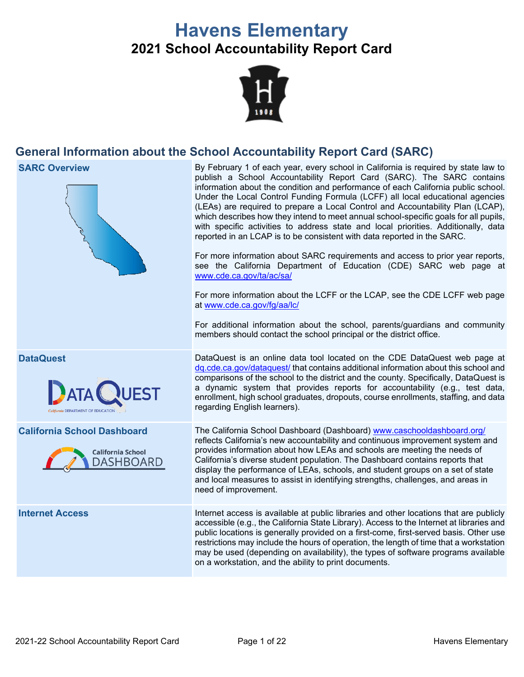# **Havens Elementary 2021 School Accountability Report Card**



# **General Information about the School Accountability Report Card (SARC)**

**SARC Overview** By February 1 of each year, every school in California is required by state law to publish a School Accountability Report Card (SARC). The SARC contains information about the condition and performance of each California public school. Under the Local Control Funding Formula (LCFF) all local educational agencies (LEAs) are required to prepare a Local Control and Accountability Plan (LCAP), which describes how they intend to meet annual school-specific goals for all pupils, with specific activities to address state and local priorities. Additionally, data reported in an LCAP is to be consistent with data reported in the SARC. For more information about SARC requirements and access to prior year reports, see the California Department of Education (CDE) SARC web page at [www.cde.ca.gov/ta/ac/sa/](https://www.cde.ca.gov/ta/ac/sa/) For more information about the LCFF or the LCAP, see the CDE LCFF web page at [www.cde.ca.gov/fg/aa/lc/](https://www.cde.ca.gov/fg/aa/lc/) For additional information about the school, parents/guardians and community members should contact the school principal or the district office. **DataQuest** DataQuest is an online data tool located on the CDE DataQuest web page at [dq.cde.ca.gov/dataquest/](https://dq.cde.ca.gov/dataquest/) that contains additional information about this school and comparisons of the school to the district and the county. Specifically, DataQuest is a dynamic system that provides reports for accountability (e.g., test data, enrollment, high school graduates, dropouts, course enrollments, staffing, and data regarding English learners). **California School Dashboard** The California School Dashboard (Dashboard) [www.caschooldashboard.org/](http://www.caschooldashboard.org/) reflects California's new accountability and continuous improvement system and provides information about how LEAs and schools are meeting the needs of **California School** California's diverse student population. The Dashboard contains reports that **DASHBOARD** display the performance of LEAs, schools, and student groups on a set of state and local measures to assist in identifying strengths, challenges, and areas in need of improvement. **Internet Access** Internet access is available at public libraries and other locations that are publicly accessible (e.g., the California State Library). Access to the Internet at libraries and public locations is generally provided on a first-come, first-served basis. Other use restrictions may include the hours of operation, the length of time that a workstation

on a workstation, and the ability to print documents.

may be used (depending on availability), the types of software programs available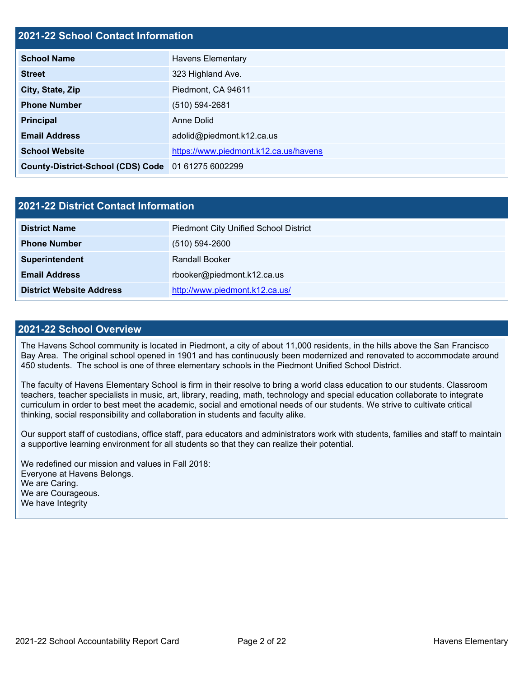# **2021-22 School Contact Information**

| <b>School Name</b>                                 | <b>Havens Elementary</b>              |
|----------------------------------------------------|---------------------------------------|
| <b>Street</b>                                      | 323 Highland Ave.                     |
| City, State, Zip                                   | Piedmont, CA 94611                    |
| <b>Phone Number</b>                                | $(510) 594 - 2681$                    |
| <b>Principal</b>                                   | Anne Dolid                            |
| <b>Email Address</b>                               | adolid@piedmont.k12.ca.us             |
| <b>School Website</b>                              | https://www.piedmont.k12.ca.us/havens |
| County-District-School (CDS) Code 01 61275 6002299 |                                       |

| 2021-22 District Contact Information |                                              |  |  |  |
|--------------------------------------|----------------------------------------------|--|--|--|
| <b>District Name</b>                 | <b>Piedmont City Unified School District</b> |  |  |  |
| <b>Phone Number</b>                  | $(510) 594 - 2600$                           |  |  |  |
| Superintendent                       | <b>Randall Booker</b>                        |  |  |  |
| <b>Email Address</b>                 | rbooker@piedmont.k12.ca.us                   |  |  |  |
| <b>District Website Address</b>      | http://www.piedmont.k12.ca.us/               |  |  |  |

## **2021-22 School Overview**

The Havens School community is located in Piedmont, a city of about 11,000 residents, in the hills above the San Francisco Bay Area. The original school opened in 1901 and has continuously been modernized and renovated to accommodate around 450 students. The school is one of three elementary schools in the Piedmont Unified School District.

The faculty of Havens Elementary School is firm in their resolve to bring a world class education to our students. Classroom teachers, teacher specialists in music, art, library, reading, math, technology and special education collaborate to integrate curriculum in order to best meet the academic, social and emotional needs of our students. We strive to cultivate critical thinking, social responsibility and collaboration in students and faculty alike.

Our support staff of custodians, office staff, para educators and administrators work with students, families and staff to maintain a supportive learning environment for all students so that they can realize their potential.

We redefined our mission and values in Fall 2018: Everyone at Havens Belongs. We are Caring. We are Courageous. We have Integrity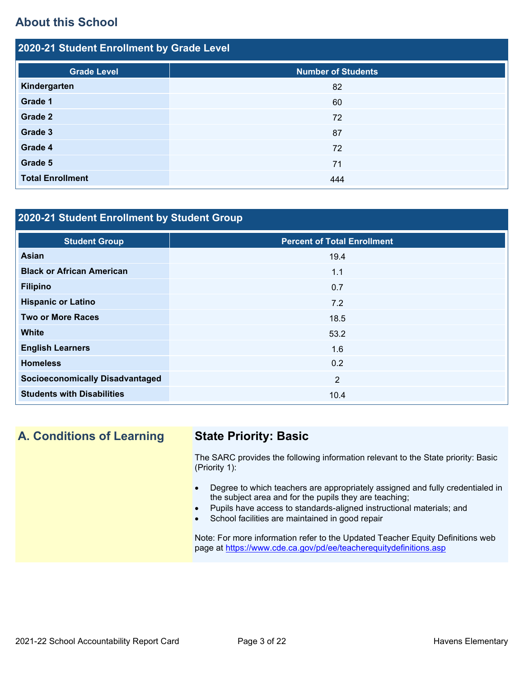# **About this School**

| 2020-21 Student Enrollment by Grade Level |                           |  |  |  |
|-------------------------------------------|---------------------------|--|--|--|
| <b>Grade Level</b>                        | <b>Number of Students</b> |  |  |  |
| Kindergarten                              | 82                        |  |  |  |
| Grade 1                                   | 60                        |  |  |  |
| Grade 2                                   | 72                        |  |  |  |
| Grade 3                                   | 87                        |  |  |  |
| Grade 4                                   | 72                        |  |  |  |
| Grade 5                                   | 71                        |  |  |  |
| <b>Total Enrollment</b>                   | 444                       |  |  |  |

# **2020-21 Student Enrollment by Student Group**

| <b>Student Group</b>                   | <b>Percent of Total Enrollment</b> |
|----------------------------------------|------------------------------------|
| Asian                                  | 19.4                               |
| <b>Black or African American</b>       | 1.1                                |
| <b>Filipino</b>                        | 0.7                                |
| <b>Hispanic or Latino</b>              | 7.2                                |
| <b>Two or More Races</b>               | 18.5                               |
| <b>White</b>                           | 53.2                               |
| <b>English Learners</b>                | 1.6                                |
| <b>Homeless</b>                        | 0.2                                |
| <b>Socioeconomically Disadvantaged</b> | 2                                  |
| <b>Students with Disabilities</b>      | 10.4                               |

# **A. Conditions of Learning State Priority: Basic**

The SARC provides the following information relevant to the State priority: Basic (Priority 1):

- Degree to which teachers are appropriately assigned and fully credentialed in the subject area and for the pupils they are teaching;
- Pupils have access to standards-aligned instructional materials; and
- School facilities are maintained in good repair

Note: For more information refer to the Updated Teacher Equity Definitions web page at<https://www.cde.ca.gov/pd/ee/teacherequitydefinitions.asp>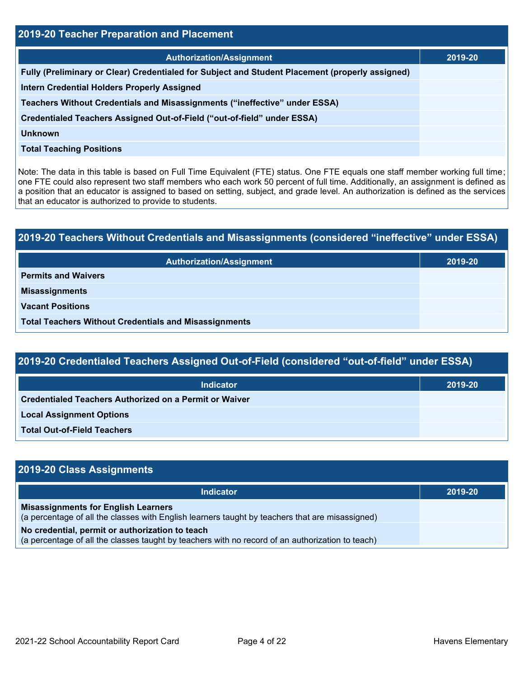| <b>2019-20 Teacher Preparation and Placement</b>                                                |         |  |  |  |
|-------------------------------------------------------------------------------------------------|---------|--|--|--|
| <b>Authorization/Assignment</b>                                                                 | 2019-20 |  |  |  |
| Fully (Preliminary or Clear) Credentialed for Subject and Student Placement (properly assigned) |         |  |  |  |
| <b>Intern Credential Holders Properly Assigned</b>                                              |         |  |  |  |
| Teachers Without Credentials and Misassignments ("ineffective" under ESSA)                      |         |  |  |  |
| Credentialed Teachers Assigned Out-of-Field ("out-of-field" under ESSA)                         |         |  |  |  |
| <b>Unknown</b>                                                                                  |         |  |  |  |
| <b>Total Teaching Positions</b>                                                                 |         |  |  |  |

Note: The data in this table is based on Full Time Equivalent (FTE) status. One FTE equals one staff member working full time; one FTE could also represent two staff members who each work 50 percent of full time. Additionally, an assignment is defined as a position that an educator is assigned to based on setting, subject, and grade level. An authorization is defined as the services that an educator is authorized to provide to students.

# **2019-20 Teachers Without Credentials and Misassignments (considered "ineffective" under ESSA) Authorization/Assignment 2019-20 Permits and Waivers Misassignments Vacant Positions Total Teachers Without Credentials and Misassignments**

| 2019-20 Credentialed Teachers Assigned Out-of-Field (considered "out-of-field" under ESSA) |  |
|--------------------------------------------------------------------------------------------|--|
| the all a solar and                                                                        |  |

| <b>Indicator</b>                                              | 2019-20 |
|---------------------------------------------------------------|---------|
| <b>Credentialed Teachers Authorized on a Permit or Waiver</b> |         |
| <b>Local Assignment Options</b>                               |         |
| <b>Total Out-of-Field Teachers</b>                            |         |

| 2019-20 Class Assignments                                                                                                                           |         |
|-----------------------------------------------------------------------------------------------------------------------------------------------------|---------|
| <b>Indicator</b>                                                                                                                                    | 2019-20 |
| <b>Misassignments for English Learners</b><br>(a percentage of all the classes with English learners taught by teachers that are misassigned)       |         |
| No credential, permit or authorization to teach<br>(a percentage of all the classes taught by teachers with no record of an authorization to teach) |         |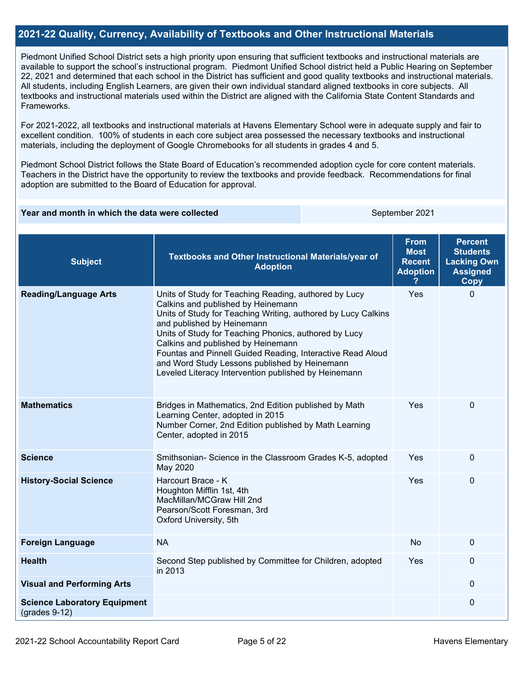## **2021-22 Quality, Currency, Availability of Textbooks and Other Instructional Materials**

Piedmont Unified School District sets a high priority upon ensuring that sufficient textbooks and instructional materials are available to support the school's instructional program. Piedmont Unified School district held a Public Hearing on September 22, 2021 and determined that each school in the District has sufficient and good quality textbooks and instructional materials. All students, including English Learners, are given their own individual standard aligned textbooks in core subjects. All textbooks and instructional materials used within the District are aligned with the California State Content Standards and Frameworks.

For 2021-2022, all textbooks and instructional materials at Havens Elementary School were in adequate supply and fair to excellent condition. 100% of students in each core subject area possessed the necessary textbooks and instructional materials, including the deployment of Google Chromebooks for all students in grades 4 and 5.

Piedmont School District follows the State Board of Education's recommended adoption cycle for core content materials. Teachers in the District have the opportunity to review the textbooks and provide feedback. Recommendations for final adoption are submitted to the Board of Education for approval.

#### **Year and month in which the data were collected September 2021** September 2021

| <b>Subject</b>                                         | Textbooks and Other Instructional Materials/year of<br><b>Adoption</b>                                                                                                                                                                                                                                                                                                                                                                                           | <b>From</b><br><b>Most</b><br><b>Recent</b><br><b>Adoption</b> | <b>Percent</b><br><b>Students</b><br><b>Lacking Own</b><br><b>Assigned</b><br><b>Copy</b> |
|--------------------------------------------------------|------------------------------------------------------------------------------------------------------------------------------------------------------------------------------------------------------------------------------------------------------------------------------------------------------------------------------------------------------------------------------------------------------------------------------------------------------------------|----------------------------------------------------------------|-------------------------------------------------------------------------------------------|
| <b>Reading/Language Arts</b>                           | Units of Study for Teaching Reading, authored by Lucy<br>Calkins and published by Heinemann<br>Units of Study for Teaching Writing, authored by Lucy Calkins<br>and published by Heinemann<br>Units of Study for Teaching Phonics, authored by Lucy<br>Calkins and published by Heinemann<br>Fountas and Pinnell Guided Reading, Interactive Read Aloud<br>and Word Study Lessons published by Heinemann<br>Leveled Literacy Intervention published by Heinemann | Yes                                                            | $\Omega$                                                                                  |
| <b>Mathematics</b>                                     | Bridges in Mathematics, 2nd Edition published by Math<br>Learning Center, adopted in 2015<br>Number Corner, 2nd Edition published by Math Learning<br>Center, adopted in 2015                                                                                                                                                                                                                                                                                    | Yes                                                            | $\mathbf 0$                                                                               |
| <b>Science</b>                                         | Smithsonian- Science in the Classroom Grades K-5, adopted<br>May 2020                                                                                                                                                                                                                                                                                                                                                                                            | Yes                                                            | $\mathbf 0$                                                                               |
| <b>History-Social Science</b>                          | Harcourt Brace - K<br>Houghton Mifflin 1st, 4th<br>MacMillan/MCGraw Hill 2nd<br>Pearson/Scott Foresman, 3rd<br>Oxford University, 5th                                                                                                                                                                                                                                                                                                                            | Yes                                                            | $\mathbf 0$                                                                               |
| <b>Foreign Language</b>                                | <b>NA</b>                                                                                                                                                                                                                                                                                                                                                                                                                                                        | No                                                             | $\mathbf{0}$                                                                              |
| <b>Health</b>                                          | Second Step published by Committee for Children, adopted<br>in 2013                                                                                                                                                                                                                                                                                                                                                                                              | Yes                                                            | 0                                                                                         |
| <b>Visual and Performing Arts</b>                      |                                                                                                                                                                                                                                                                                                                                                                                                                                                                  |                                                                | $\mathbf 0$                                                                               |
| <b>Science Laboratory Equipment</b><br>$(grades 9-12)$ |                                                                                                                                                                                                                                                                                                                                                                                                                                                                  |                                                                | $\boldsymbol{0}$                                                                          |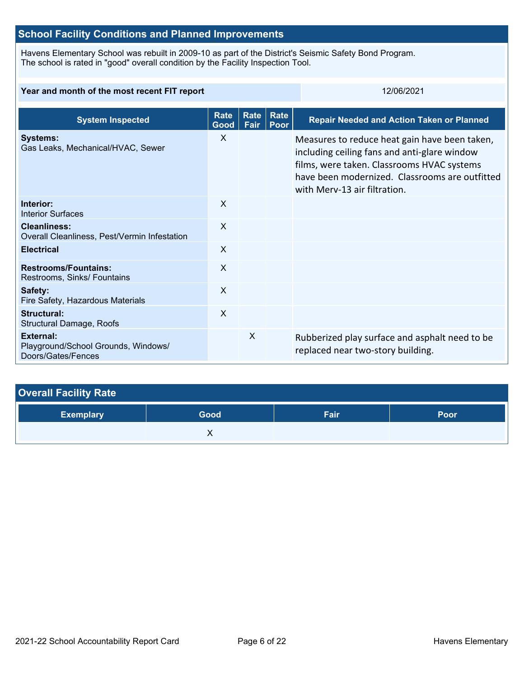# **School Facility Conditions and Planned Improvements**

Havens Elementary School was rebuilt in 2009-10 as part of the District's Seismic Safety Bond Program. The school is rated in "good" overall condition by the Facility Inspection Tool.

### **Year and month of the most recent FIT report** 12/06/2021

| <b>System Inspected</b>                                                       | <b>Rate</b><br>Good | Rate<br>Fair | Rate<br>Poor | <b>Repair Needed and Action Taken or Planned</b>                                                                                                                                                                              |
|-------------------------------------------------------------------------------|---------------------|--------------|--------------|-------------------------------------------------------------------------------------------------------------------------------------------------------------------------------------------------------------------------------|
| <b>Systems:</b><br>Gas Leaks, Mechanical/HVAC, Sewer                          | X                   |              |              | Measures to reduce heat gain have been taken,<br>including ceiling fans and anti-glare window<br>films, were taken. Classrooms HVAC systems<br>have been modernized. Classrooms are outfitted<br>with Merv-13 air filtration. |
| Interior:<br>Interior Surfaces                                                | X                   |              |              |                                                                                                                                                                                                                               |
| <b>Cleanliness:</b><br>Overall Cleanliness, Pest/Vermin Infestation           | X                   |              |              |                                                                                                                                                                                                                               |
| <b>Electrical</b>                                                             | X                   |              |              |                                                                                                                                                                                                                               |
| <b>Restrooms/Fountains:</b><br>Restrooms, Sinks/ Fountains                    | X                   |              |              |                                                                                                                                                                                                                               |
| Safety:<br>Fire Safety, Hazardous Materials                                   | X                   |              |              |                                                                                                                                                                                                                               |
| Structural:<br><b>Structural Damage, Roofs</b>                                | $\times$            |              |              |                                                                                                                                                                                                                               |
| <b>External:</b><br>Playground/School Grounds, Windows/<br>Doors/Gates/Fences |                     | X            |              | Rubberized play surface and asphalt need to be<br>replaced near two-story building.                                                                                                                                           |

| <b>Overall Facility Rate</b> |      |      |      |  |  |
|------------------------------|------|------|------|--|--|
| <b>Exemplary</b>             | Good | Fair | Poor |  |  |
|                              |      |      |      |  |  |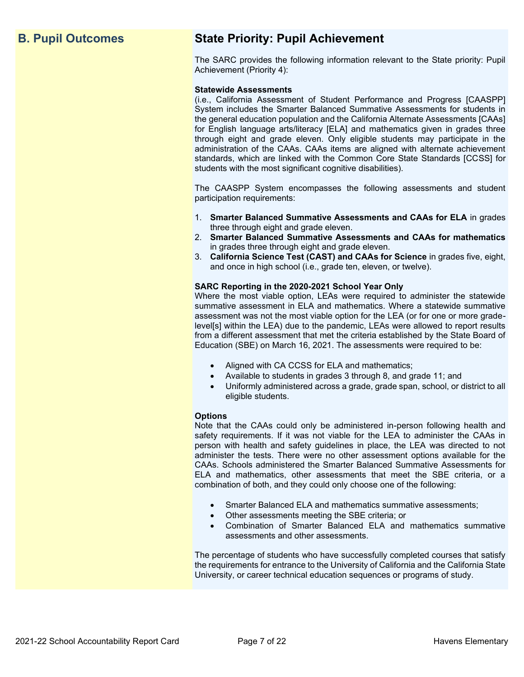# **B. Pupil Outcomes State Priority: Pupil Achievement**

The SARC provides the following information relevant to the State priority: Pupil Achievement (Priority 4):

### **Statewide Assessments**

(i.e., California Assessment of Student Performance and Progress [CAASPP] System includes the Smarter Balanced Summative Assessments for students in the general education population and the California Alternate Assessments [CAAs] for English language arts/literacy [ELA] and mathematics given in grades three through eight and grade eleven. Only eligible students may participate in the administration of the CAAs. CAAs items are aligned with alternate achievement standards, which are linked with the Common Core State Standards [CCSS] for students with the most significant cognitive disabilities).

The CAASPP System encompasses the following assessments and student participation requirements:

- 1. **Smarter Balanced Summative Assessments and CAAs for ELA** in grades three through eight and grade eleven.
- 2. **Smarter Balanced Summative Assessments and CAAs for mathematics** in grades three through eight and grade eleven.
- 3. **California Science Test (CAST) and CAAs for Science** in grades five, eight, and once in high school (i.e., grade ten, eleven, or twelve).

### **SARC Reporting in the 2020-2021 School Year Only**

Where the most viable option, LEAs were required to administer the statewide summative assessment in ELA and mathematics. Where a statewide summative assessment was not the most viable option for the LEA (or for one or more gradelevel[s] within the LEA) due to the pandemic, LEAs were allowed to report results from a different assessment that met the criteria established by the State Board of Education (SBE) on March 16, 2021. The assessments were required to be:

- Aligned with CA CCSS for ELA and mathematics;
- Available to students in grades 3 through 8, and grade 11; and
- Uniformly administered across a grade, grade span, school, or district to all eligible students.

#### **Options**

Note that the CAAs could only be administered in-person following health and safety requirements. If it was not viable for the LEA to administer the CAAs in person with health and safety guidelines in place, the LEA was directed to not administer the tests. There were no other assessment options available for the CAAs. Schools administered the Smarter Balanced Summative Assessments for ELA and mathematics, other assessments that meet the SBE criteria, or a combination of both, and they could only choose one of the following:

- Smarter Balanced ELA and mathematics summative assessments;
- Other assessments meeting the SBE criteria; or
- Combination of Smarter Balanced ELA and mathematics summative assessments and other assessments.

The percentage of students who have successfully completed courses that satisfy the requirements for entrance to the University of California and the California State University, or career technical education sequences or programs of study.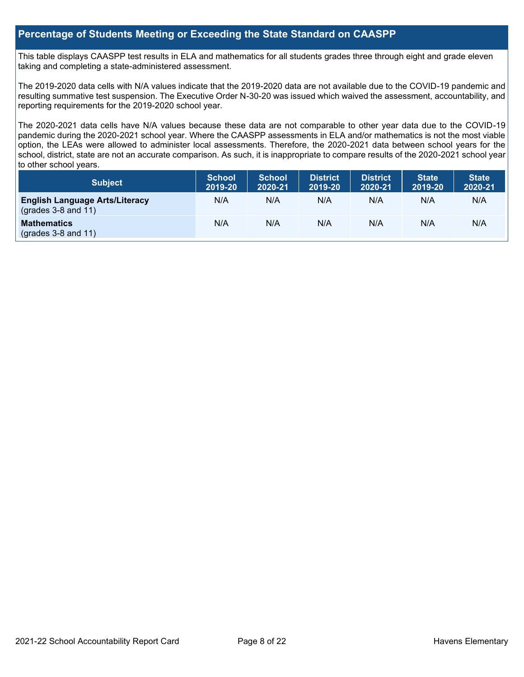# **Percentage of Students Meeting or Exceeding the State Standard on CAASPP**

This table displays CAASPP test results in ELA and mathematics for all students grades three through eight and grade eleven taking and completing a state-administered assessment.

The 2019-2020 data cells with N/A values indicate that the 2019-2020 data are not available due to the COVID-19 pandemic and resulting summative test suspension. The Executive Order N-30-20 was issued which waived the assessment, accountability, and reporting requirements for the 2019-2020 school year.

The 2020-2021 data cells have N/A values because these data are not comparable to other year data due to the COVID-19 pandemic during the 2020-2021 school year. Where the CAASPP assessments in ELA and/or mathematics is not the most viable option, the LEAs were allowed to administer local assessments. Therefore, the 2020-2021 data between school years for the school, district, state are not an accurate comparison. As such, it is inappropriate to compare results of the 2020-2021 school year to other school years.

| Subject                                                              | <b>School</b><br>2019-20 | <b>School</b><br>2020-21 | <b>District</b><br>2019-20 | <b>District</b><br>2020-21 | <b>State</b><br>2019-20 | <b>State</b><br>2020-21 |
|----------------------------------------------------------------------|--------------------------|--------------------------|----------------------------|----------------------------|-------------------------|-------------------------|
| <b>English Language Arts/Literacy</b><br>$\left($ grades 3-8 and 11) | N/A                      | N/A                      | N/A                        | N/A                        | N/A                     | N/A                     |
| <b>Mathematics</b><br>$(grades 3-8 and 11)$                          | N/A                      | N/A                      | N/A                        | N/A                        | N/A                     | N/A                     |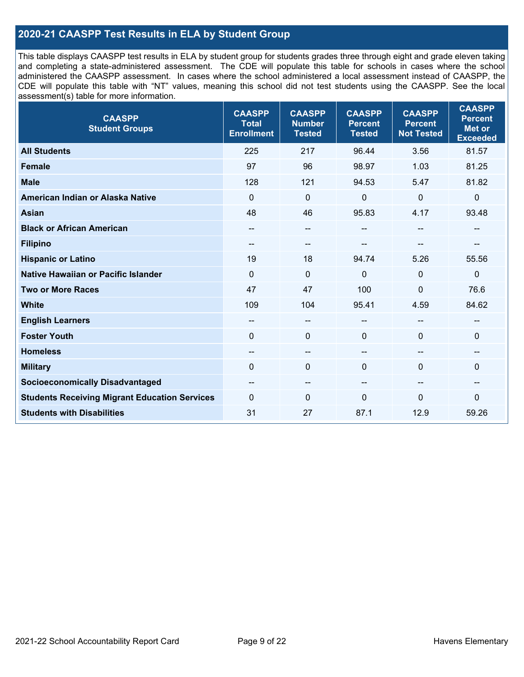# **2020-21 CAASPP Test Results in ELA by Student Group**

This table displays CAASPP test results in ELA by student group for students grades three through eight and grade eleven taking and completing a state-administered assessment. The CDE will populate this table for schools in cases where the school administered the CAASPP assessment. In cases where the school administered a local assessment instead of CAASPP, the CDE will populate this table with "NT" values, meaning this school did not test students using the CAASPP. See the local assessment(s) table for more information.

| <b>CAASPP</b><br><b>Student Groups</b>               | <b>CAASPP</b><br><b>Total</b><br><b>Enrollment</b> | <b>CAASPP</b><br><b>Number</b><br><b>Tested</b> | <b>CAASPP</b><br><b>Percent</b><br><b>Tested</b> | <b>CAASPP</b><br><b>Percent</b><br><b>Not Tested</b> | <b>CAASPP</b><br><b>Percent</b><br><b>Met or</b><br><b>Exceeded</b> |
|------------------------------------------------------|----------------------------------------------------|-------------------------------------------------|--------------------------------------------------|------------------------------------------------------|---------------------------------------------------------------------|
| <b>All Students</b>                                  | 225                                                | 217                                             | 96.44                                            | 3.56                                                 | 81.57                                                               |
| <b>Female</b>                                        | 97                                                 | 96                                              | 98.97                                            | 1.03                                                 | 81.25                                                               |
| <b>Male</b>                                          | 128                                                | 121                                             | 94.53                                            | 5.47                                                 | 81.82                                                               |
| American Indian or Alaska Native                     | $\mathbf 0$                                        | $\mathbf 0$                                     | $\mathbf 0$                                      | $\overline{0}$                                       | 0                                                                   |
| <b>Asian</b>                                         | 48                                                 | 46                                              | 95.83                                            | 4.17                                                 | 93.48                                                               |
| <b>Black or African American</b>                     | $\overline{\phantom{a}}$                           | $\overline{\phantom{a}}$                        | --                                               | $\overline{\phantom{a}}$                             | $-$                                                                 |
| <b>Filipino</b>                                      | $- -$                                              | $\sim$                                          |                                                  |                                                      |                                                                     |
| <b>Hispanic or Latino</b>                            | 19                                                 | 18                                              | 94.74                                            | 5.26                                                 | 55.56                                                               |
| <b>Native Hawaiian or Pacific Islander</b>           | $\mathbf 0$                                        | $\mathbf 0$                                     | $\mathbf{0}$                                     | $\mathbf 0$                                          | $\mathbf 0$                                                         |
| <b>Two or More Races</b>                             | 47                                                 | 47                                              | 100                                              | $\mathbf 0$                                          | 76.6                                                                |
| <b>White</b>                                         | 109                                                | 104                                             | 95.41                                            | 4.59                                                 | 84.62                                                               |
| <b>English Learners</b>                              | $-$                                                | $\overline{\phantom{a}}$                        | $-$                                              | $\overline{a}$                                       | --                                                                  |
| <b>Foster Youth</b>                                  | $\Omega$                                           | $\mathbf{0}$                                    | $\mathbf{0}$                                     | $\mathbf 0$                                          | $\Omega$                                                            |
| <b>Homeless</b>                                      | --                                                 | $\overline{\phantom{m}}$                        | --                                               | $\sim$                                               | --                                                                  |
| <b>Military</b>                                      | $\mathbf{0}$                                       | $\mathbf 0$                                     | $\mathbf{0}$                                     | $\Omega$                                             | 0                                                                   |
| <b>Socioeconomically Disadvantaged</b>               | --                                                 | $\overline{\phantom{a}}$                        |                                                  | $\sim$                                               | --                                                                  |
| <b>Students Receiving Migrant Education Services</b> | $\Omega$                                           | $\mathbf 0$                                     | $\Omega$                                         | $\mathbf{0}$                                         | 0                                                                   |
| <b>Students with Disabilities</b>                    | 31                                                 | 27                                              | 87.1                                             | 12.9                                                 | 59.26                                                               |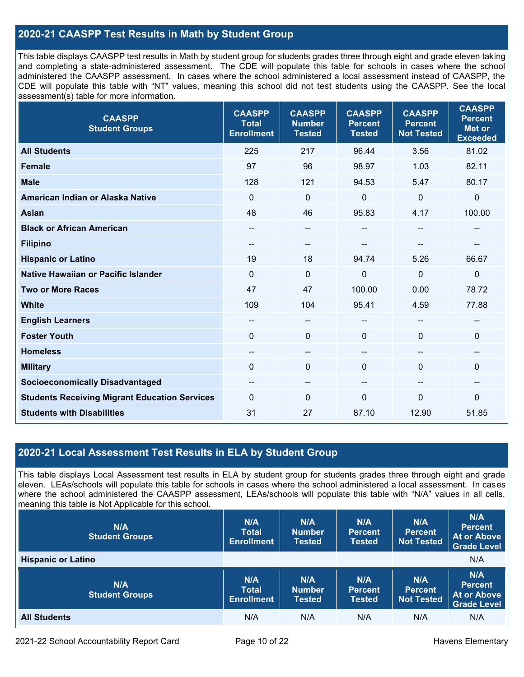# **2020-21 CAASPP Test Results in Math by Student Group**

This table displays CAASPP test results in Math by student group for students grades three through eight and grade eleven taking and completing a state-administered assessment. The CDE will populate this table for schools in cases where the school administered the CAASPP assessment. In cases where the school administered a local assessment instead of CAASPP, the CDE will populate this table with "NT" values, meaning this school did not test students using the CAASPP. See the local assessment(s) table for more information.

| <b>CAASPP</b><br><b>Student Groups</b>               | <b>CAASPP</b><br><b>Total</b><br><b>Enrollment</b> | <b>CAASPP</b><br><b>Number</b><br><b>Tested</b> | <b>CAASPP</b><br><b>Percent</b><br><b>Tested</b> | <b>CAASPP</b><br><b>Percent</b><br><b>Not Tested</b> | <b>CAASPP</b><br><b>Percent</b><br><b>Met or</b><br><b>Exceeded</b> |
|------------------------------------------------------|----------------------------------------------------|-------------------------------------------------|--------------------------------------------------|------------------------------------------------------|---------------------------------------------------------------------|
| <b>All Students</b>                                  | 225                                                | 217                                             | 96.44                                            | 3.56                                                 | 81.02                                                               |
| <b>Female</b>                                        | 97                                                 | 96                                              | 98.97                                            | 1.03                                                 | 82.11                                                               |
| <b>Male</b>                                          | 128                                                | 121                                             | 94.53                                            | 5.47                                                 | 80.17                                                               |
| American Indian or Alaska Native                     | $\mathbf 0$                                        | $\mathbf 0$                                     | $\mathbf 0$                                      | $\mathbf 0$                                          | $\pmb{0}$                                                           |
| <b>Asian</b>                                         | 48                                                 | 46                                              | 95.83                                            | 4.17                                                 | 100.00                                                              |
| <b>Black or African American</b>                     | $\qquad \qquad -$                                  | --                                              | --                                               | $\overline{\phantom{a}}$                             | $\overline{\phantom{a}}$                                            |
| <b>Filipino</b>                                      | $- -$                                              | --                                              |                                                  |                                                      |                                                                     |
| <b>Hispanic or Latino</b>                            | 19                                                 | 18                                              | 94.74                                            | 5.26                                                 | 66.67                                                               |
| Native Hawaiian or Pacific Islander                  | $\mathbf 0$                                        | $\mathbf 0$                                     | $\mathbf 0$                                      | $\overline{0}$                                       | $\mathbf 0$                                                         |
| <b>Two or More Races</b>                             | 47                                                 | 47                                              | 100.00                                           | 0.00                                                 | 78.72                                                               |
| <b>White</b>                                         | 109                                                | 104                                             | 95.41                                            | 4.59                                                 | 77.88                                                               |
| <b>English Learners</b>                              | $\qquad \qquad -$                                  | --                                              | --                                               | --                                                   | --                                                                  |
| <b>Foster Youth</b>                                  | $\mathbf 0$                                        | 0                                               | $\mathbf 0$                                      | $\Omega$                                             | $\mathbf 0$                                                         |
| <b>Homeless</b>                                      | $\qquad \qquad -$                                  | --                                              | $- -$                                            | --                                                   | --                                                                  |
| <b>Military</b>                                      | $\Omega$                                           | 0                                               | $\mathbf 0$                                      | $\Omega$                                             | $\mathbf 0$                                                         |
| <b>Socioeconomically Disadvantaged</b>               | $- -$                                              | --                                              | $\hspace{0.05cm}$ – $\hspace{0.05cm}$            | --                                                   | --                                                                  |
| <b>Students Receiving Migrant Education Services</b> | $\Omega$                                           | 0                                               | $\Omega$                                         | $\mathbf{0}$                                         | 0                                                                   |
| <b>Students with Disabilities</b>                    | 31                                                 | 27                                              | 87.10                                            | 12.90                                                | 51.85                                                               |

# **2020-21 Local Assessment Test Results in ELA by Student Group**

This table displays Local Assessment test results in ELA by student group for students grades three through eight and grade eleven. LEAs/schools will populate this table for schools in cases where the school administered a local assessment. In cases where the school administered the CAASPP assessment, LEAs/schools will populate this table with "N/A" values in all cells, meaning this table is Not Applicable for this school.

| N/A<br><b>Student Groups</b> | N/A<br><b>Total</b><br><b>Enrollment</b> | N/A<br><b>Number</b><br><b>Tested</b> | N/A<br><b>Percent</b><br>Tested        | N/A<br><b>Percent</b><br><b>Not Tested</b> | N/A<br><b>Percent</b><br><b>At or Above</b><br><b>Grade Level</b> |
|------------------------------|------------------------------------------|---------------------------------------|----------------------------------------|--------------------------------------------|-------------------------------------------------------------------|
| <b>Hispanic or Latino</b>    |                                          |                                       |                                        |                                            | N/A                                                               |
| N/A<br><b>Student Groups</b> | N/A<br><b>Total</b><br><b>Enrollment</b> | N/A<br><b>Number</b><br><b>Tested</b> | N/A<br><b>Percent</b><br><b>Tested</b> | N/A<br><b>Percent</b><br>Not Tested        | N/A<br><b>Percent</b><br><b>At or Above</b><br><b>Grade Level</b> |
| <b>All Students</b>          | N/A                                      | N/A                                   | N/A                                    | N/A                                        | N/A                                                               |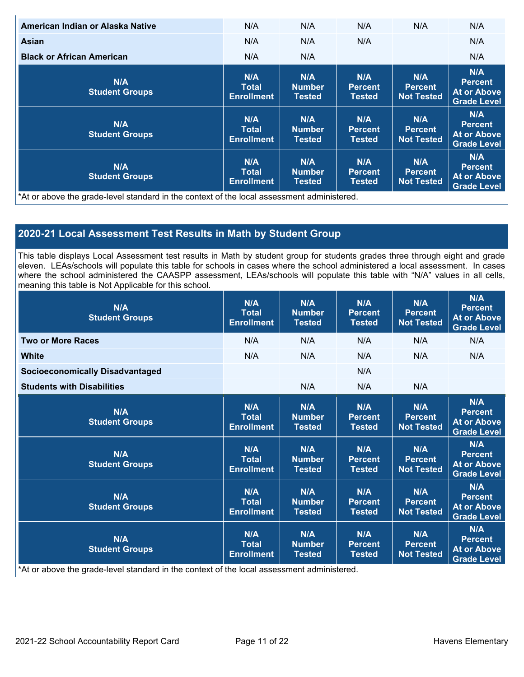| American Indian or Alaska Native                                                           | N/A                                      | N/A                                   | N/A                                    | N/A                                        | N/A                                                               |
|--------------------------------------------------------------------------------------------|------------------------------------------|---------------------------------------|----------------------------------------|--------------------------------------------|-------------------------------------------------------------------|
| Asian                                                                                      | N/A                                      | N/A                                   | N/A                                    |                                            | N/A                                                               |
| <b>Black or African American</b>                                                           | N/A                                      | N/A                                   |                                        |                                            | N/A                                                               |
| N/A<br><b>Student Groups</b>                                                               | N/A<br><b>Total</b><br><b>Enrollment</b> | N/A<br><b>Number</b><br><b>Tested</b> | N/A<br><b>Percent</b><br><b>Tested</b> | N/A<br><b>Percent</b><br><b>Not Tested</b> | N/A<br><b>Percent</b><br><b>At or Above</b><br><b>Grade Level</b> |
| N/A<br><b>Student Groups</b>                                                               | N/A<br>Total<br><b>Enrollment</b>        | N/A<br><b>Number</b><br>Tested        | N/A<br><b>Percent</b><br><b>Tested</b> | N/A<br><b>Percent</b><br><b>Not Tested</b> | N/A<br><b>Percent</b><br><b>At or Above</b><br><b>Grade Level</b> |
| N/A<br><b>Student Groups</b>                                                               | N/A<br><b>Total</b><br><b>Enrollment</b> | N/A<br><b>Number</b><br>Tested        | N/A<br><b>Percent</b><br><b>Tested</b> | N/A<br><b>Percent</b><br><b>Not Tested</b> | N/A<br><b>Percent</b><br>At or Above<br><b>Grade Level</b>        |
| *At or above the grade-level standard in the context of the local assessment administered. |                                          |                                       |                                        |                                            |                                                                   |

# **2020-21 Local Assessment Test Results in Math by Student Group**

This table displays Local Assessment test results in Math by student group for students grades three through eight and grade eleven. LEAs/schools will populate this table for schools in cases where the school administered a local assessment. In cases where the school administered the CAASPP assessment, LEAs/schools will populate this table with "N/A" values in all cells, meaning this table is Not Applicable for this school.

| N/A<br><b>Student Groups</b>                                                               | N/A<br><b>Total</b><br><b>Enrollment</b> | N/A<br><b>Number</b><br><b>Tested</b> | N/A<br><b>Percent</b><br><b>Tested</b> | N/A<br><b>Percent</b><br><b>Not Tested</b> | N/A<br><b>Percent</b><br><b>At or Above</b><br><b>Grade Level</b> |
|--------------------------------------------------------------------------------------------|------------------------------------------|---------------------------------------|----------------------------------------|--------------------------------------------|-------------------------------------------------------------------|
| <b>Two or More Races</b>                                                                   | N/A                                      | N/A                                   | N/A                                    | N/A                                        | N/A                                                               |
| <b>White</b>                                                                               | N/A                                      | N/A                                   | N/A                                    | N/A                                        | N/A                                                               |
| <b>Socioeconomically Disadvantaged</b>                                                     |                                          |                                       | N/A                                    |                                            |                                                                   |
| <b>Students with Disabilities</b>                                                          |                                          | N/A                                   | N/A                                    | N/A                                        |                                                                   |
| N/A<br><b>Student Groups</b>                                                               | N/A<br><b>Total</b><br><b>Enrollment</b> | N/A<br><b>Number</b><br><b>Tested</b> | N/A<br><b>Percent</b><br><b>Tested</b> | N/A<br><b>Percent</b><br><b>Not Tested</b> | N/A<br><b>Percent</b><br><b>At or Above</b><br><b>Grade Level</b> |
| N/A<br><b>Student Groups</b>                                                               | N/A<br><b>Total</b><br><b>Enrollment</b> | N/A<br><b>Number</b><br><b>Tested</b> | N/A<br><b>Percent</b><br><b>Tested</b> | N/A<br><b>Percent</b><br><b>Not Tested</b> | N/A<br><b>Percent</b><br><b>At or Above</b><br><b>Grade Level</b> |
| N/A<br><b>Student Groups</b>                                                               | N/A<br><b>Total</b><br><b>Enrollment</b> | N/A<br><b>Number</b><br><b>Tested</b> | N/A<br><b>Percent</b><br><b>Tested</b> | N/A<br><b>Percent</b><br><b>Not Tested</b> | N/A<br><b>Percent</b><br><b>At or Above</b><br><b>Grade Level</b> |
| N/A<br><b>Student Groups</b>                                                               | N/A<br><b>Total</b><br><b>Enrollment</b> | N/A<br><b>Number</b><br><b>Tested</b> | N/A<br><b>Percent</b><br><b>Tested</b> | N/A<br><b>Percent</b><br><b>Not Tested</b> | N/A<br><b>Percent</b><br><b>At or Above</b><br><b>Grade Level</b> |
| *At or above the grade-level standard in the context of the local assessment administered. |                                          |                                       |                                        |                                            |                                                                   |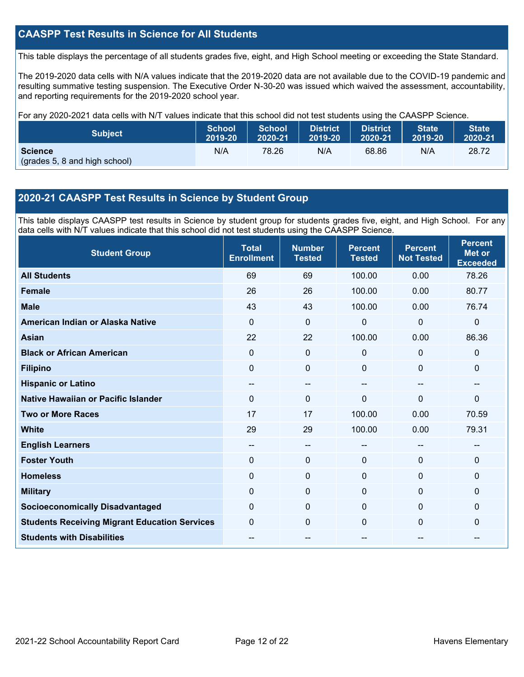# **CAASPP Test Results in Science for All Students**

This table displays the percentage of all students grades five, eight, and High School meeting or exceeding the State Standard.

The 2019-2020 data cells with N/A values indicate that the 2019-2020 data are not available due to the COVID-19 pandemic and resulting summative testing suspension. The Executive Order N-30-20 was issued which waived the assessment, accountability, and reporting requirements for the 2019-2020 school year.

For any 2020-2021 data cells with N/T values indicate that this school did not test students using the CAASPP Science.

| <b>Subject</b>                                  | <b>School</b> | <b>School</b> | <b>District</b> | <b>District</b> | <b>State</b> | <b>State</b> |
|-------------------------------------------------|---------------|---------------|-----------------|-----------------|--------------|--------------|
|                                                 | 2019-20       | 2020-21       | 2019-20         | 2020-21         | 2019-20      | 2020-21      |
| <b>Science</b><br>(grades 5, 8 and high school) | N/A           | 78.26         | N/A             | 68.86           | N/A          | 28.72        |

# **2020-21 CAASPP Test Results in Science by Student Group**

This table displays CAASPP test results in Science by student group for students grades five, eight, and High School. For any data cells with N/T values indicate that this school did not test students using the CAASPP Science.

| <b>Student Group</b>                                 | <b>Total</b><br><b>Enrollment</b>     | <b>Number</b><br><b>Tested</b> | <b>Percent</b><br><b>Tested</b> | <b>Percent</b><br><b>Not Tested</b> | <b>Percent</b><br><b>Met or</b><br><b>Exceeded</b> |
|------------------------------------------------------|---------------------------------------|--------------------------------|---------------------------------|-------------------------------------|----------------------------------------------------|
| <b>All Students</b>                                  | 69                                    | 69                             | 100.00                          | 0.00                                | 78.26                                              |
| <b>Female</b>                                        | 26                                    | 26                             | 100.00                          | 0.00                                | 80.77                                              |
| <b>Male</b>                                          | 43                                    | 43                             | 100.00                          | 0.00                                | 76.74                                              |
| American Indian or Alaska Native                     | $\Omega$                              | $\Omega$                       | $\mathbf{0}$                    | $\mathbf{0}$                        | $\mathbf 0$                                        |
| <b>Asian</b>                                         | 22                                    | 22                             | 100.00                          | 0.00                                | 86.36                                              |
| <b>Black or African American</b>                     | 0                                     | $\mathbf 0$                    | $\mathbf 0$                     | 0                                   | $\mathbf 0$                                        |
| <b>Filipino</b>                                      | 0                                     | 0                              | $\Omega$                        | $\Omega$                            | $\mathbf 0$                                        |
| <b>Hispanic or Latino</b>                            | $\hspace{0.05cm}$ – $\hspace{0.05cm}$ | $\qquad \qquad -$              | $\overline{\phantom{a}}$        | --                                  | --                                                 |
| Native Hawaiian or Pacific Islander                  | $\Omega$                              | $\mathbf 0$                    | $\Omega$                        | $\overline{0}$                      | $\mathbf 0$                                        |
| <b>Two or More Races</b>                             | 17                                    | 17                             | 100.00                          | 0.00                                | 70.59                                              |
| <b>White</b>                                         | 29                                    | 29                             | 100.00                          | 0.00                                | 79.31                                              |
| <b>English Learners</b>                              | --                                    | $--$                           |                                 | --                                  | --                                                 |
| <b>Foster Youth</b>                                  | 0                                     | $\mathbf 0$                    | $\mathbf 0$                     | 0                                   | $\mathbf 0$                                        |
| <b>Homeless</b>                                      | 0                                     | $\mathbf 0$                    | $\mathbf 0$                     | $\Omega$                            | $\mathbf{0}$                                       |
| <b>Military</b>                                      | $\Omega$                              | $\mathbf 0$                    | $\Omega$                        | $\mathbf{0}$                        | $\mathbf{0}$                                       |
| <b>Socioeconomically Disadvantaged</b>               | $\Omega$                              | $\mathbf 0$                    | $\Omega$                        | $\Omega$                            | $\mathbf{0}$                                       |
| <b>Students Receiving Migrant Education Services</b> | $\Omega$                              | $\mathbf 0$                    | $\Omega$                        | $\Omega$                            | $\mathbf{0}$                                       |
| <b>Students with Disabilities</b>                    | --                                    | --                             | --                              | --                                  | --                                                 |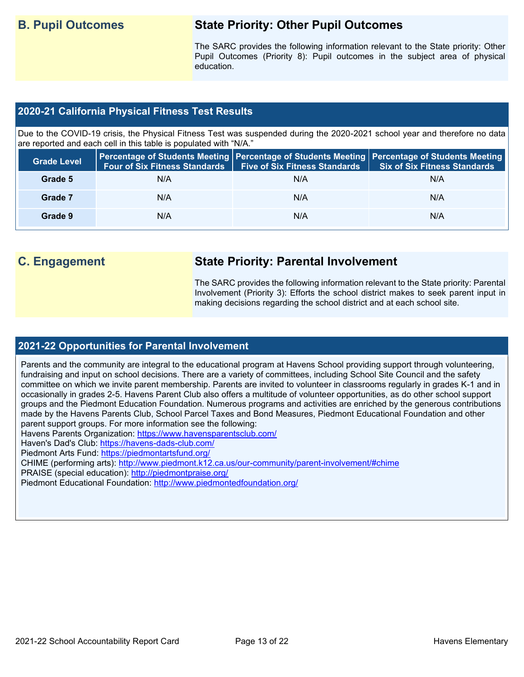# **B. Pupil Outcomes State Priority: Other Pupil Outcomes**

The SARC provides the following information relevant to the State priority: Other Pupil Outcomes (Priority 8): Pupil outcomes in the subject area of physical education.

# **2020-21 California Physical Fitness Test Results**

Due to the COVID-19 crisis, the Physical Fitness Test was suspended during the 2020-2021 school year and therefore no data are reported and each cell in this table is populated with "N/A."

| <b>Grade Level</b> | <b>Four of Six Fitness Standards</b> | <b>Five of Six Fitness Standards</b> | Percentage of Students Meeting   Percentage of Students Meeting   Percentage of Students Meeting  <br><b>Six of Six Fitness Standards</b> |
|--------------------|--------------------------------------|--------------------------------------|-------------------------------------------------------------------------------------------------------------------------------------------|
| Grade 5            | N/A                                  | N/A                                  | N/A                                                                                                                                       |
| Grade 7            | N/A                                  | N/A                                  | N/A                                                                                                                                       |
| Grade 9            | N/A                                  | N/A                                  | N/A                                                                                                                                       |

# **C. Engagement State Priority: Parental Involvement**

The SARC provides the following information relevant to the State priority: Parental Involvement (Priority 3): Efforts the school district makes to seek parent input in making decisions regarding the school district and at each school site.

# **2021-22 Opportunities for Parental Involvement**

Parents and the community are integral to the educational program at Havens School providing support through volunteering, fundraising and input on school decisions. There are a variety of committees, including School Site Council and the safety committee on which we invite parent membership. Parents are invited to volunteer in classrooms regularly in grades K-1 and in occasionally in grades 2-5. Havens Parent Club also offers a multitude of volunteer opportunities, as do other school support groups and the Piedmont Education Foundation. Numerous programs and activities are enriched by the generous contributions made by the Havens Parents Club, School Parcel Taxes and Bond Measures, Piedmont Educational Foundation and other parent support groups. For more information see the following:

Havens Parents Organization:<https://www.havensparentsclub.com/>

Haven's Dad's Club:<https://havens-dads-club.com/>

Piedmont Arts Fund:<https://piedmontartsfund.org/>

CHIME (performing arts):<http://www.piedmont.k12.ca.us/our-community/parent-involvement/#chime>

PRAISE (special education):<http://piedmontpraise.org/>

Piedmont Educational Foundation:<http://www.piedmontedfoundation.org/>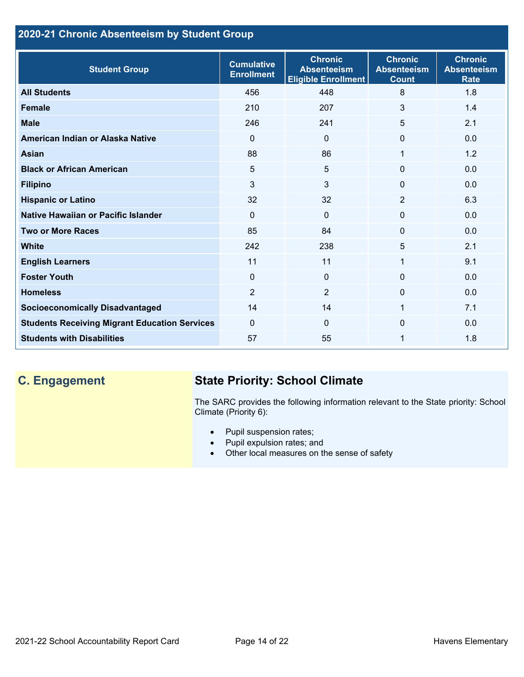# **2020-21 Chronic Absenteeism by Student Group**

| <b>Student Group</b>                                 | <b>Cumulative</b><br><b>Enrollment</b> | <b>Chronic</b><br><b>Absenteeism</b><br><b>Eligible Enrollment</b> | <b>Chronic</b><br><b>Absenteeism</b><br><b>Count</b> | <b>Chronic</b><br><b>Absenteeism</b><br><b>Rate</b> |
|------------------------------------------------------|----------------------------------------|--------------------------------------------------------------------|------------------------------------------------------|-----------------------------------------------------|
| <b>All Students</b>                                  | 456                                    | 448                                                                | 8                                                    | 1.8                                                 |
| <b>Female</b>                                        | 210                                    | 207                                                                | 3                                                    | 1.4                                                 |
| <b>Male</b>                                          | 246                                    | 241                                                                | 5                                                    | 2.1                                                 |
| American Indian or Alaska Native                     | $\Omega$                               | $\Omega$                                                           | $\Omega$                                             | 0.0                                                 |
| <b>Asian</b>                                         | 88                                     | 86                                                                 | 1                                                    | 1.2                                                 |
| <b>Black or African American</b>                     | 5                                      | 5                                                                  | $\mathbf{0}$                                         | 0.0                                                 |
| <b>Filipino</b>                                      | 3                                      | 3                                                                  | $\mathbf{0}$                                         | 0.0                                                 |
| <b>Hispanic or Latino</b>                            | 32                                     | 32                                                                 | $\overline{2}$                                       | 6.3                                                 |
| Native Hawaiian or Pacific Islander                  | $\Omega$                               | $\mathbf{0}$                                                       | $\mathbf 0$                                          | 0.0                                                 |
| <b>Two or More Races</b>                             | 85                                     | 84                                                                 | $\mathbf{0}$                                         | 0.0                                                 |
| <b>White</b>                                         | 242                                    | 238                                                                | 5                                                    | 2.1                                                 |
| <b>English Learners</b>                              | 11                                     | 11                                                                 | 1                                                    | 9.1                                                 |
| <b>Foster Youth</b>                                  | $\mathbf 0$                            | $\Omega$                                                           | $\Omega$                                             | 0.0                                                 |
| <b>Homeless</b>                                      | $\overline{2}$                         | $\overline{2}$                                                     | $\Omega$                                             | 0.0                                                 |
| <b>Socioeconomically Disadvantaged</b>               | 14                                     | 14                                                                 | 1                                                    | 7.1                                                 |
| <b>Students Receiving Migrant Education Services</b> | $\mathbf{0}$                           | $\Omega$                                                           | 0                                                    | 0.0                                                 |
| <b>Students with Disabilities</b>                    | 57                                     | 55                                                                 | 1                                                    | 1.8                                                 |

# **C. Engagement State Priority: School Climate**

The SARC provides the following information relevant to the State priority: School Climate (Priority 6):

- Pupil suspension rates;
- Pupil expulsion rates; and
- Other local measures on the sense of safety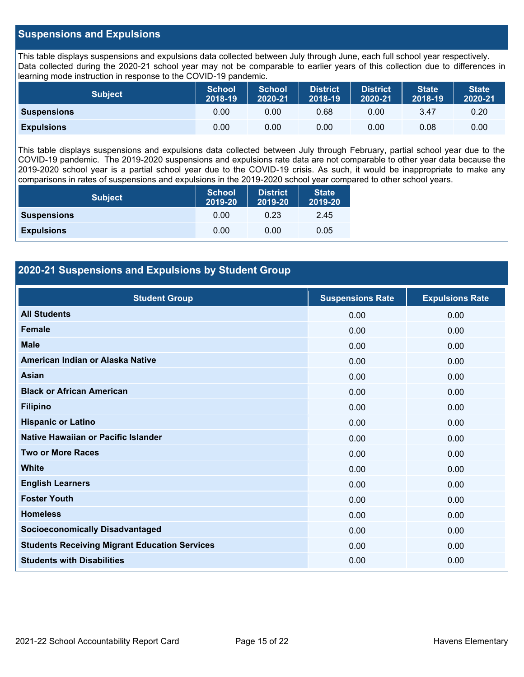# **Suspensions and Expulsions**

This table displays suspensions and expulsions data collected between July through June, each full school year respectively. Data collected during the 2020-21 school year may not be comparable to earlier years of this collection due to differences in learning mode instruction in response to the COVID-19 pandemic.

| <b>Subject</b>     | <b>School</b><br>2018-19 | <b>School</b><br>2020-21 | <b>District</b><br>2018-19 | <b>District</b><br>2020-21 | <b>State</b><br>2018-19 | <b>State</b><br>2020-21 |
|--------------------|--------------------------|--------------------------|----------------------------|----------------------------|-------------------------|-------------------------|
| <b>Suspensions</b> | 0.00                     | 0.00                     | 0.68                       | 0.00                       | 3.47                    | 0.20                    |
| <b>Expulsions</b>  | 0.00                     | 0.00                     | 0.00                       | 0.00                       | 0.08                    | 0.00                    |

This table displays suspensions and expulsions data collected between July through February, partial school year due to the COVID-19 pandemic. The 2019-2020 suspensions and expulsions rate data are not comparable to other year data because the 2019-2020 school year is a partial school year due to the COVID-19 crisis. As such, it would be inappropriate to make any comparisons in rates of suspensions and expulsions in the 2019-2020 school year compared to other school years.

| <b>Subject</b>     | School<br>2019-20 | <b>District</b><br>2019-20 | <b>State</b><br>2019-20 |
|--------------------|-------------------|----------------------------|-------------------------|
| <b>Suspensions</b> | 0.00              | 0.23                       | 2.45                    |
| <b>Expulsions</b>  | 0.00              | 0.00                       | 0.05                    |

# **2020-21 Suspensions and Expulsions by Student Group**

| <b>Student Group</b>                                 | <b>Suspensions Rate</b> | <b>Expulsions Rate</b> |
|------------------------------------------------------|-------------------------|------------------------|
| <b>All Students</b>                                  | 0.00                    | 0.00                   |
| <b>Female</b>                                        | 0.00                    | 0.00                   |
| <b>Male</b>                                          | 0.00                    | 0.00                   |
| American Indian or Alaska Native                     | 0.00                    | 0.00                   |
| <b>Asian</b>                                         | 0.00                    | 0.00                   |
| <b>Black or African American</b>                     | 0.00                    | 0.00                   |
| <b>Filipino</b>                                      | 0.00                    | 0.00                   |
| <b>Hispanic or Latino</b>                            | 0.00                    | 0.00                   |
| Native Hawaiian or Pacific Islander                  | 0.00                    | 0.00                   |
| <b>Two or More Races</b>                             | 0.00                    | 0.00                   |
| <b>White</b>                                         | 0.00                    | 0.00                   |
| <b>English Learners</b>                              | 0.00                    | 0.00                   |
| <b>Foster Youth</b>                                  | 0.00                    | 0.00                   |
| <b>Homeless</b>                                      | 0.00                    | 0.00                   |
| <b>Socioeconomically Disadvantaged</b>               | 0.00                    | 0.00                   |
| <b>Students Receiving Migrant Education Services</b> | 0.00                    | 0.00                   |
| <b>Students with Disabilities</b>                    | 0.00                    | 0.00                   |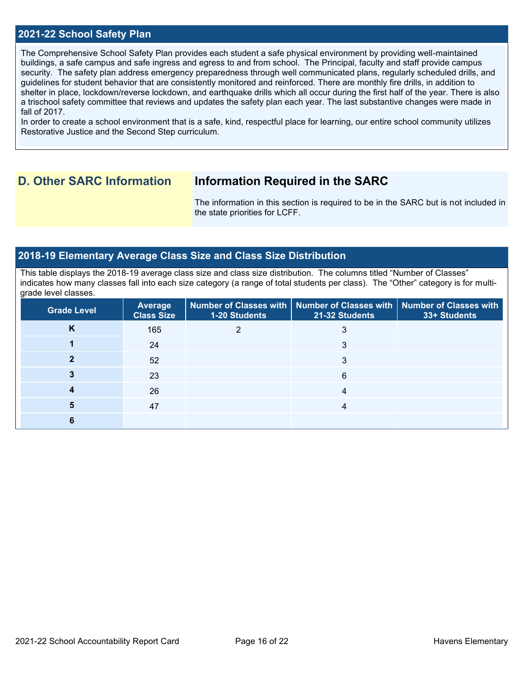## **2021-22 School Safety Plan**

The Comprehensive School Safety Plan provides each student a safe physical environment by providing well-maintained buildings, a safe campus and safe ingress and egress to and from school. The Principal, faculty and staff provide campus security. The safety plan address emergency preparedness through well communicated plans, regularly scheduled drills, and guidelines for student behavior that are consistently monitored and reinforced. There are monthly fire drills, in addition to shelter in place, lockdown/reverse lockdown, and earthquake drills which all occur during the first half of the year. There is also a trischool safety committee that reviews and updates the safety plan each year. The last substantive changes were made in fall of 2017.

In order to create a school environment that is a safe, kind, respectful place for learning, our entire school community utilizes Restorative Justice and the Second Step curriculum.

# **D. Other SARC Information Information Required in the SARC**

The information in this section is required to be in the SARC but is not included in the state priorities for LCFF.

### **2018-19 Elementary Average Class Size and Class Size Distribution**

This table displays the 2018-19 average class size and class size distribution. The columns titled "Number of Classes" indicates how many classes fall into each size category (a range of total students per class). The "Other" category is for multigrade level classes.

| <b>Grade Level</b> | Average<br><b>Class Size</b> | 1-20 Students | Number of Classes with   Number of Classes with   Number of Classes with<br>21-32 Students | 33+ Students |
|--------------------|------------------------------|---------------|--------------------------------------------------------------------------------------------|--------------|
| K                  | 165                          |               | 3                                                                                          |              |
|                    | 24                           |               | 3                                                                                          |              |
|                    | 52                           |               | 3                                                                                          |              |
|                    | 23                           |               | 6                                                                                          |              |
|                    | 26                           |               | 4                                                                                          |              |
|                    | 47                           |               | 4                                                                                          |              |
| 6                  |                              |               |                                                                                            |              |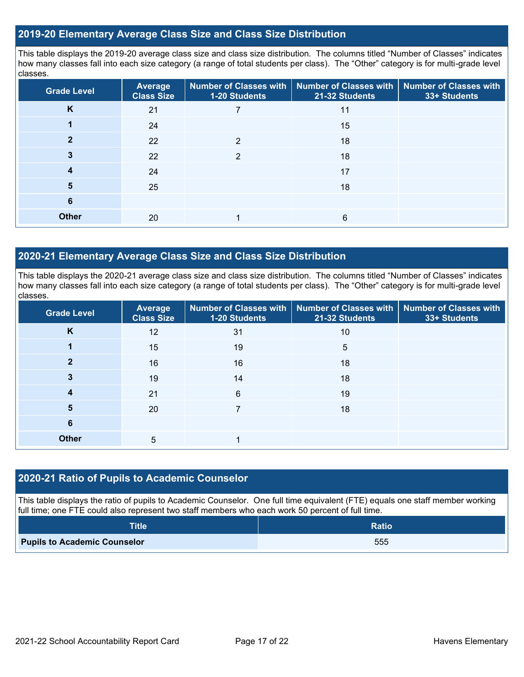## **2019-20 Elementary Average Class Size and Class Size Distribution**

This table displays the 2019-20 average class size and class size distribution. The columns titled "Number of Classes" indicates how many classes fall into each size category (a range of total students per class). The "Other" category is for multi-grade level classes.

| <b>Grade Level</b> | Average<br><b>Class Size</b> | <b>Number of Classes with</b><br><b>1-20 Students</b> | <b>Number of Classes with</b><br>21-32 Students | <b>Number of Classes with</b><br>33+ Students |
|--------------------|------------------------------|-------------------------------------------------------|-------------------------------------------------|-----------------------------------------------|
| K                  | 21                           |                                                       | 11                                              |                                               |
|                    | 24                           |                                                       | 15                                              |                                               |
|                    | 22                           | $\mathfrak{p}$                                        | 18                                              |                                               |
| 3                  | 22                           | 2                                                     | 18                                              |                                               |
| 4                  | 24                           |                                                       | 17                                              |                                               |
| 5                  | 25                           |                                                       | 18                                              |                                               |
| 6                  |                              |                                                       |                                                 |                                               |
| <b>Other</b>       | 20                           |                                                       | 6                                               |                                               |

# **2020-21 Elementary Average Class Size and Class Size Distribution**

This table displays the 2020-21 average class size and class size distribution. The columns titled "Number of Classes" indicates how many classes fall into each size category (a range of total students per class). The "Other" category is for multi-grade level classes.

| <b>Grade Level</b> | <b>Average</b><br><b>Class Size</b> | 1-20 Students | Number of Classes with   Number of Classes with   Number of Classes with<br>21-32 Students | 33+ Students |
|--------------------|-------------------------------------|---------------|--------------------------------------------------------------------------------------------|--------------|
| K                  | 12                                  | 31            | 10                                                                                         |              |
|                    | 15                                  | 19            | 5                                                                                          |              |
| 2                  | 16                                  | 16            | 18                                                                                         |              |
| 3                  | 19                                  | 14            | 18                                                                                         |              |
|                    | 21                                  | 6             | 19                                                                                         |              |
| 5                  | 20                                  |               | 18                                                                                         |              |
| 6                  |                                     |               |                                                                                            |              |
| <b>Other</b>       | 5                                   |               |                                                                                            |              |

### **2020-21 Ratio of Pupils to Academic Counselor**

This table displays the ratio of pupils to Academic Counselor. One full time equivalent (FTE) equals one staff member working full time; one FTE could also represent two staff members who each work 50 percent of full time.

| <b>Title</b>                        | <b>Ratio</b> |
|-------------------------------------|--------------|
| <b>Pupils to Academic Counselor</b> | 555          |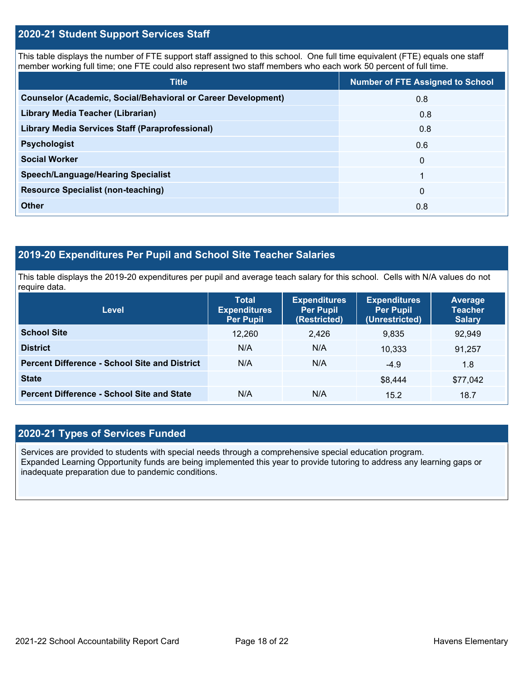# **2020-21 Student Support Services Staff**

This table displays the number of FTE support staff assigned to this school. One full time equivalent (FTE) equals one staff member working full time; one FTE could also represent two staff members who each work 50 percent of full time.

| <b>Title</b>                                                         | <b>Number of FTE Assigned to School</b> |
|----------------------------------------------------------------------|-----------------------------------------|
| <b>Counselor (Academic, Social/Behavioral or Career Development)</b> | 0.8                                     |
| Library Media Teacher (Librarian)                                    | 0.8                                     |
| <b>Library Media Services Staff (Paraprofessional)</b>               | 0.8                                     |
| <b>Psychologist</b>                                                  | 0.6                                     |
| <b>Social Worker</b>                                                 | $\mathbf 0$                             |
| <b>Speech/Language/Hearing Specialist</b>                            | 1                                       |
| <b>Resource Specialist (non-teaching)</b>                            | $\mathbf{0}$                            |
| <b>Other</b>                                                         | 0.8                                     |

# **2019-20 Expenditures Per Pupil and School Site Teacher Salaries**

This table displays the 2019-20 expenditures per pupil and average teach salary for this school. Cells with N/A values do not require data.

| <b>Level</b>                                         | <b>Total</b><br><b>Expenditures</b><br><b>Per Pupil</b> | <b>Expenditures</b><br><b>Per Pupil</b><br>(Restricted) | <b>Expenditures</b><br><b>Per Pupil</b><br>(Unrestricted) | Average<br><b>Teacher</b><br><b>Salary</b> |
|------------------------------------------------------|---------------------------------------------------------|---------------------------------------------------------|-----------------------------------------------------------|--------------------------------------------|
| <b>School Site</b>                                   | 12,260                                                  | 2.426                                                   | 9.835                                                     | 92,949                                     |
| <b>District</b>                                      | N/A                                                     | N/A                                                     | 10.333                                                    | 91,257                                     |
| <b>Percent Difference - School Site and District</b> | N/A                                                     | N/A                                                     | $-4.9$                                                    | 1.8                                        |
| <b>State</b>                                         |                                                         |                                                         | \$8,444                                                   | \$77,042                                   |
| <b>Percent Difference - School Site and State</b>    | N/A                                                     | N/A                                                     | 15.2                                                      | 18.7                                       |

# **2020-21 Types of Services Funded**

Services are provided to students with special needs through a comprehensive special education program. Expanded Learning Opportunity funds are being implemented this year to provide tutoring to address any learning gaps or inadequate preparation due to pandemic conditions.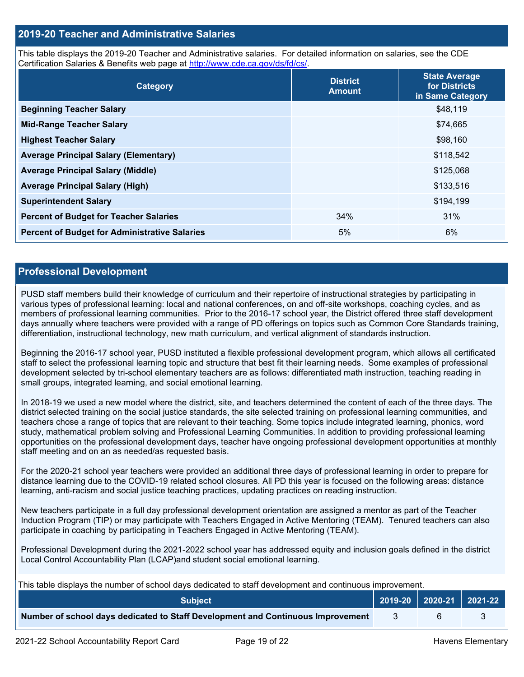# **2019-20 Teacher and Administrative Salaries**

This table displays the 2019-20 Teacher and Administrative salaries. For detailed information on salaries, see the CDE Certification Salaries & Benefits web page at [http://www.cde.ca.gov/ds/fd/cs/.](http://www.cde.ca.gov/ds/fd/cs/)

| Category                                             | <b>District</b><br><b>Amount</b> | <b>State Average</b><br>for Districts<br>in Same Category |
|------------------------------------------------------|----------------------------------|-----------------------------------------------------------|
| <b>Beginning Teacher Salary</b>                      |                                  | \$48,119                                                  |
| <b>Mid-Range Teacher Salary</b>                      |                                  | \$74,665                                                  |
| <b>Highest Teacher Salary</b>                        |                                  | \$98,160                                                  |
| <b>Average Principal Salary (Elementary)</b>         |                                  | \$118,542                                                 |
| <b>Average Principal Salary (Middle)</b>             |                                  | \$125,068                                                 |
| <b>Average Principal Salary (High)</b>               |                                  | \$133,516                                                 |
| <b>Superintendent Salary</b>                         |                                  | \$194,199                                                 |
| <b>Percent of Budget for Teacher Salaries</b>        | 34%                              | 31%                                                       |
| <b>Percent of Budget for Administrative Salaries</b> | 5%                               | 6%                                                        |

### **Professional Development**

PUSD staff members build their knowledge of curriculum and their repertoire of instructional strategies by participating in various types of professional learning: local and national conferences, on and off-site workshops, coaching cycles, and as members of professional learning communities. Prior to the 2016-17 school year, the District offered three staff development days annually where teachers were provided with a range of PD offerings on topics such as Common Core Standards training, differentiation, instructional technology, new math curriculum, and vertical alignment of standards instruction.

Beginning the 2016-17 school year, PUSD instituted a flexible professional development program, which allows all certificated staff to select the professional learning topic and structure that best fit their learning needs. Some examples of professional development selected by tri-school elementary teachers are as follows: differentiated math instruction, teaching reading in small groups, integrated learning, and social emotional learning.

In 2018-19 we used a new model where the district, site, and teachers determined the content of each of the three days. The district selected training on the social justice standards, the site selected training on professional learning communities, and teachers chose a range of topics that are relevant to their teaching. Some topics include integrated learning, phonics, word study, mathematical problem solving and Professional Learning Communities. In addition to providing professional learning opportunities on the professional development days, teacher have ongoing professional development opportunities at monthly staff meeting and on an as needed/as requested basis.

For the 2020-21 school year teachers were provided an additional three days of professional learning in order to prepare for distance learning due to the COVID-19 related school closures. All PD this year is focused on the following areas: distance learning, anti-racism and social justice teaching practices, updating practices on reading instruction.

New teachers participate in a full day professional development orientation are assigned a mentor as part of the Teacher Induction Program (TIP) or may participate with Teachers Engaged in Active Mentoring (TEAM). Tenured teachers can also participate in coaching by participating in Teachers Engaged in Active Mentoring (TEAM).

Professional Development during the 2021-2022 school year has addressed equity and inclusion goals defined in the district Local Control Accountability Plan (LCAP)and student social emotional learning.

This table displays the number of school days dedicated to staff development and continuous improvement.

| <b>Subject</b>                                                                  | 2019-20   2020-21   2021-22 |  |
|---------------------------------------------------------------------------------|-----------------------------|--|
| Number of school days dedicated to Staff Development and Continuous Improvement |                             |  |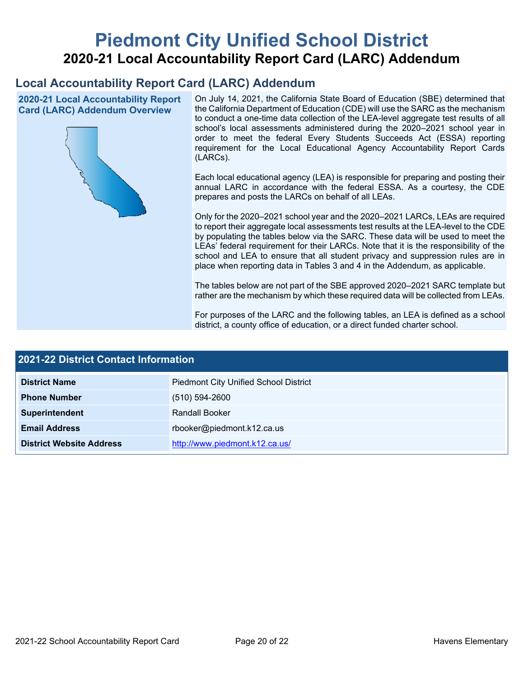# **Piedmont City Unified School District 2020-21 Local Accountability Report Card (LARC) Addendum**

# **Local Accountability Report Card (LARC) Addendum**

**2020-21 Local Accountability Report Card (LARC) Addendum Overview**



On July 14, 2021, the California State Board of Education (SBE) determined that the California Department of Education (CDE) will use the SARC as the mechanism to conduct a one-time data collection of the LEA-level aggregate test results of all school's local assessments administered during the 2020–2021 school year in order to meet the federal Every Students Succeeds Act (ESSA) reporting requirement for the Local Educational Agency Accountability Report Cards (LARCs).

Each local educational agency (LEA) is responsible for preparing and posting their annual LARC in accordance with the federal ESSA. As a courtesy, the CDE prepares and posts the LARCs on behalf of all LEAs.

Only for the 2020–2021 school year and the 2020–2021 LARCs, LEAs are required to report their aggregate local assessments test results at the LEA-level to the CDE by populating the tables below via the SARC. These data will be used to meet the LEAs' federal requirement for their LARCs. Note that it is the responsibility of the school and LEA to ensure that all student privacy and suppression rules are in place when reporting data in Tables 3 and 4 in the Addendum, as applicable.

The tables below are not part of the SBE approved 2020–2021 SARC template but rather are the mechanism by which these required data will be collected from LEAs.

For purposes of the LARC and the following tables, an LEA is defined as a school district, a county office of education, or a direct funded charter school.

| <b>2021-22 District Contact Information</b> |                                              |  |  |  |
|---------------------------------------------|----------------------------------------------|--|--|--|
| <b>District Name</b>                        | <b>Piedmont City Unified School District</b> |  |  |  |
| <b>Phone Number</b>                         | $(510) 594 - 2600$                           |  |  |  |
| Superintendent                              | <b>Randall Booker</b>                        |  |  |  |
| <b>Email Address</b>                        | rbooker@piedmont.k12.ca.us                   |  |  |  |
| <b>District Website Address</b>             | http://www.piedmont.k12.ca.us/               |  |  |  |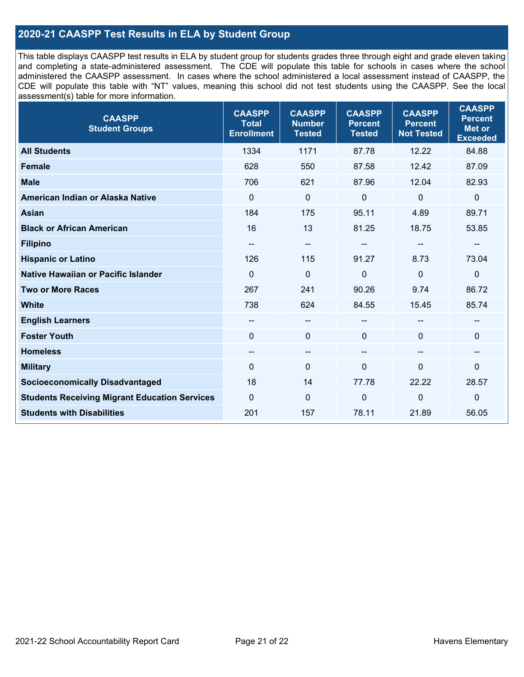# **2020-21 CAASPP Test Results in ELA by Student Group**

This table displays CAASPP test results in ELA by student group for students grades three through eight and grade eleven taking and completing a state-administered assessment. The CDE will populate this table for schools in cases where the school administered the CAASPP assessment. In cases where the school administered a local assessment instead of CAASPP, the CDE will populate this table with "NT" values, meaning this school did not test students using the CAASPP. See the local assessment(s) table for more information.

| <b>CAASPP</b><br><b>Student Groups</b>               | <b>CAASPP</b><br><b>Total</b><br><b>Enrollment</b> | <b>CAASPP</b><br><b>Number</b><br><b>Tested</b> | <b>CAASPP</b><br><b>Percent</b><br><b>Tested</b> | <b>CAASPP</b><br><b>Percent</b><br><b>Not Tested</b> | <b>CAASPP</b><br><b>Percent</b><br><b>Met or</b><br><b>Exceeded</b> |
|------------------------------------------------------|----------------------------------------------------|-------------------------------------------------|--------------------------------------------------|------------------------------------------------------|---------------------------------------------------------------------|
| <b>All Students</b>                                  | 1334                                               | 1171                                            | 87.78                                            | 12.22                                                | 84.88                                                               |
| <b>Female</b>                                        | 628                                                | 550                                             | 87.58                                            | 12.42                                                | 87.09                                                               |
| <b>Male</b>                                          | 706                                                | 621                                             | 87.96                                            | 12.04                                                | 82.93                                                               |
| American Indian or Alaska Native                     | $\mathbf{0}$                                       | $\mathbf 0$                                     | $\mathbf 0$                                      | $\mathbf 0$                                          | $\mathbf 0$                                                         |
| <b>Asian</b>                                         | 184                                                | 175                                             | 95.11                                            | 4.89                                                 | 89.71                                                               |
| <b>Black or African American</b>                     | 16                                                 | 13                                              | 81.25                                            | 18.75                                                | 53.85                                                               |
| <b>Filipino</b>                                      | --                                                 | $\overline{\phantom{m}}$                        |                                                  | --                                                   | --                                                                  |
| <b>Hispanic or Latino</b>                            | 126                                                | 115                                             | 91.27                                            | 8.73                                                 | 73.04                                                               |
| <b>Native Hawaiian or Pacific Islander</b>           | $\Omega$                                           | 0                                               | 0                                                | $\mathbf 0$                                          | $\mathbf 0$                                                         |
| <b>Two or More Races</b>                             | 267                                                | 241                                             | 90.26                                            | 9.74                                                 | 86.72                                                               |
| White                                                | 738                                                | 624                                             | 84.55                                            | 15.45                                                | 85.74                                                               |
| <b>English Learners</b>                              | --                                                 | --                                              |                                                  | --                                                   |                                                                     |
| <b>Foster Youth</b>                                  | $\mathbf{0}$                                       | $\mathbf 0$                                     | $\mathbf{0}$                                     | $\Omega$                                             | 0                                                                   |
| <b>Homeless</b>                                      | --                                                 | --                                              | --                                               | $\overline{\phantom{a}}$                             | --                                                                  |
| <b>Military</b>                                      | 0                                                  | 0                                               | $\mathbf 0$                                      | $\mathbf 0$                                          | 0                                                                   |
| <b>Socioeconomically Disadvantaged</b>               | 18                                                 | 14                                              | 77.78                                            | 22.22                                                | 28.57                                                               |
| <b>Students Receiving Migrant Education Services</b> | $\mathbf 0$                                        | 0                                               | 0                                                | $\mathbf 0$                                          | $\mathbf 0$                                                         |
| <b>Students with Disabilities</b>                    | 201                                                | 157                                             | 78.11                                            | 21.89                                                | 56.05                                                               |